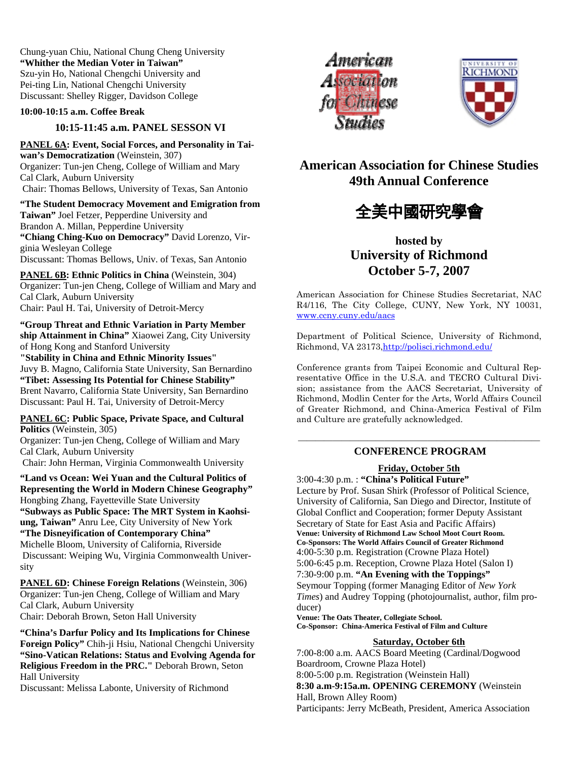Chung-yuan Chiu, National Chung Cheng University **"Whither the Median Voter in Taiwan"**  Szu-yin Ho, National Chengchi University and Pei-ting Lin, National Chengchi University Discussant: Shelley Rigger, Davidson College

### **10:00-10:15 a.m. Coffee Break**

## **10:15-11:45 a.m. PANEL SESSON VI**

**PANEL 6A: Event, Social Forces, and Personality in Taiwan's Democratization** (Weinstein, 307) Organizer: Tun-jen Cheng, College of William and Mary Cal Clark, Auburn University Chair: Thomas Bellows, University of Texas, San Antonio

**"The Student Democracy Movement and Emigration from Taiwan"** Joel Fetzer, Pepperdine University and Brandon A. Millan, Pepperdine University **"Chiang Ching-Kuo on Democracy"** David Lorenzo, Virginia Wesleyan College Discussant: Thomas Bellows, Univ. of Texas, San Antonio

**PANEL 6B: Ethnic Politics in China** (Weinstein, 304) Organizer: Tun-jen Cheng, College of William and Mary and Cal Clark, Auburn University Chair: Paul H. Tai, University of Detroit-Mercy

**"Group Threat and Ethnic Variation in Party Member ship Attainment in China"** Xiaowei Zang, City University of Hong Kong and Stanford University **"Stability in China and Ethnic Minority Issues"**

Juvy B. Magno, California State University, San Bernardino **"Tibet: Assessing Its Potential for Chinese Stability"**  Brent Navarro, California State University, San Bernardino Discussant: Paul H. Tai, University of Detroit-Mercy

**PANEL 6C: Public Space, Private Space, and Cultural Politics** (Weinstein, 305)

Organizer: Tun-jen Cheng, College of William and Mary Cal Clark, Auburn University Chair: John Herman, Virginia Commonwealth University

**"Land vs Ocean: Wei Yuan and the Cultural Politics of Representing the World in Modern Chinese Geography"**  Hongbing Zhang, Fayetteville State University **"Subways as Public Space: The MRT System in Kaohsiung, Taiwan"** Anru Lee, City University of New York **"The Disneyification of Contemporary China"**  Michelle Bloom, University of California, Riverside Discussant: Weiping Wu, Virginia Commonwealth University

**PANEL 6D: Chinese Foreign Relations** (Weinstein, 306) Organizer: Tun-jen Cheng, College of William and Mary Cal Clark, Auburn University Chair: Deborah Brown, Seton Hall University

**"China's Darfur Policy and Its Implications for Chinese Foreign Policy"** Chih-ji Hsiu, National Chengchi University **"Sino-Vatican Relations: Status and Evolving Agenda for Religious Freedom in the PRC."** Deborah Brown, Seton Hall University

Discussant: Melissa Labonte, University of Richmond





**American Association for Chinese Studies 49th Annual Conference** 



# **hosted by University of Richmond October 5-7, 2007**

American Association for Chinese Studies Secretariat, NAC R4/116, The City College, CUNY, New York, NY 10031, www.ccny.cuny.edu/aacs

Department of Political Science, University of Richmond, Richmond, VA 23173,http://polisci.richmond.edu/

Conference grants from Taipei Economic and Cultural Representative Office in the U.S.A. and TECRO Cultural Division; assistance from the AACS Secretariat, University of Richmond, Modlin Center for the Arts, World Affairs Council of Greater Richmond, and China-America Festival of Film and Culture are gratefully acknowledged.

## ———————————————————————————— **CONFERENCE PROGRAM**

## **Friday, October 5th**

3:00-4:30 p.m. : **"China's Political Future"**  Lecture by Prof. Susan Shirk (Professor of Political Science, University of California, San Diego and Director, Institute of Global Conflict and Cooperation; former Deputy Assistant Secretary of State for East Asia and Pacific Affairs) **Venue: University of Richmond Law School Moot Court Room. Co-Sponsors: The World Affairs Council of Greater Richmond**  4:00-5:30 p.m. Registration (Crowne Plaza Hotel) 5:00-6:45 p.m. Reception, Crowne Plaza Hotel (Salon I) 7:30-9:00 p.m. **"An Evening with the Toppings"** 

Seymour Topping (former Managing Editor of *New York Times*) and Audrey Topping (photojournalist, author, film producer)

**Venue: The Oats Theater, Collegiate School.** 

**Co-Sponsor: China-America Festival of Film and Culture** 

## **Saturday, October 6th**

7:00-8:00 a.m. AACS Board Meeting (Cardinal/Dogwood Boardroom, Crowne Plaza Hotel) 8:00-5:00 p.m. Registration (Weinstein Hall) **8:30 a.m-9:15a.m. OPENING CEREMONY** (Weinstein Hall, Brown Alley Room) Participants: Jerry McBeath, President, America Association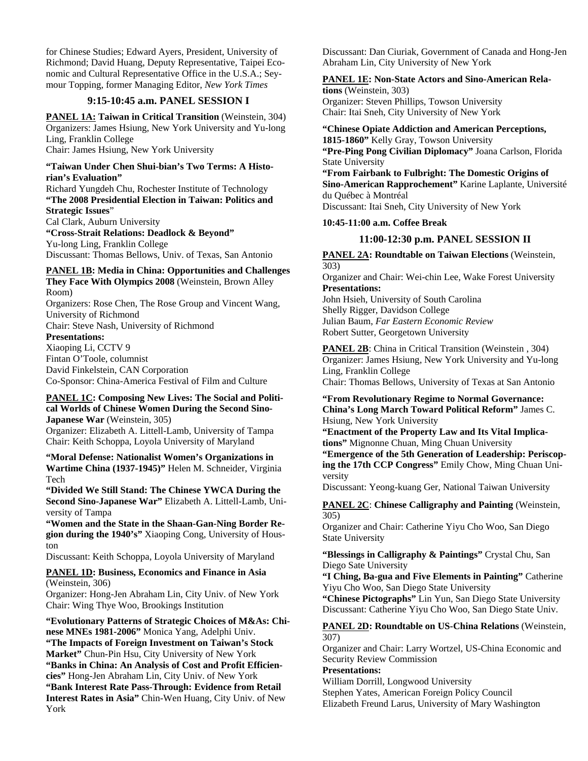for Chinese Studies; Edward Ayers, President, University of Richmond; David Huang, Deputy Representative, Taipei Economic and Cultural Representative Office in the U.S.A.; Seymour Topping, former Managing Editor, *New York Times* 

## **9:15-10:45 a.m. PANEL SESSION I**

**PANEL 1A: Taiwan in Critical Transition (Weinstein, 304)** Organizers: James Hsiung, New York University and Yu-long Ling, Franklin College

Chair: James Hsiung, New York University

### **"Taiwan Under Chen Shui-bian's Two Terms: A Historian's Evaluation"**

Richard Yungdeh Chu, Rochester Institute of Technology **"The 2008 Presidential Election in Taiwan: Politics and Strategic Issues**"

Cal Clark, Auburn University **"Cross-Strait Relations: Deadlock & Beyond"**  Yu-long Ling, Franklin College Discussant: Thomas Bellows, Univ. of Texas, San Antonio

## **PANEL 1B: Media in China: Opportunities and Challenges They Face With Olympics 2008** (Weinstein, Brown Alley

Room) Organizers: Rose Chen, The Rose Group and Vincent Wang,

University of Richmond Chair: Steve Nash, University of Richmond

## **Presentations:**

Xiaoping Li, CCTV 9 Fintan O'Toole, columnist David Finkelstein, CAN Corporation Co-Sponsor: China-America Festival of Film and Culture

## **PANEL 1C: Composing New Lives: The Social and Political Worlds of Chinese Women During the Second Sino-Japanese War** (Weinstein, 305)

Organizer: Elizabeth A. Littell-Lamb, University of Tampa Chair: Keith Schoppa, Loyola University of Maryland

**"Moral Defense: Nationalist Women's Organizations in Wartime China (1937-1945)"** Helen M. Schneider, Virginia Tech

**"Divided We Still Stand: The Chinese YWCA During the Second Sino-Japanese War"** Elizabeth A. Littell-Lamb, University of Tampa

**"Women and the State in the Shaan-Gan-Ning Border Region during the 1940's"** Xiaoping Cong, University of Houston

Discussant: Keith Schoppa, Loyola University of Maryland

### **PANEL 1D: Business, Economics and Finance in Asia**  (Weinstein, 306)

Organizer: Hong-Jen Abraham Lin, City Univ. of New York Chair: Wing Thye Woo, Brookings Institution

**"Evolutionary Patterns of Strategic Choices of M&As: Chinese MNEs 1981-2006"** Monica Yang, Adelphi Univ. **"The Impacts of Foreign Investment on Taiwan's Stock Market"** Chun-Pin Hsu, City University of New York **"Banks in China: An Analysis of Cost and Profit Efficiencies"** Hong-Jen Abraham Lin, City Univ. of New York **"Bank Interest Rate Pass-Through: Evidence from Retail Interest Rates in Asia"** Chin-Wen Huang, City Univ. of New York

Discussant: Dan Ciuriak, Government of Canada and Hong-Jen Abraham Lin, City University of New York

#### **PANEL 1E: Non-State Actors and Sino-American Relations** (Weinstein, 303)

Organizer: Steven Phillips, Towson University Chair: Itai Sneh, City University of New York

## **"Chinese Opiate Addiction and American Perceptions,**

**1815-1860"** Kelly Gray, Towson University **"Pre-Ping Pong Civilian Diplomacy"** Joana Carlson, Florida State University

**"From Fairbank to Fulbright: The Domestic Origins of Sino-American Rapprochement"** Karine Laplante, Université du Québec à Montréal

Discussant: Itai Sneh, City University of New York

### **10:45-11:00 a.m. Coffee Break**

### **11:00-12:30 p.m. PANEL SESSION II**

**PANEL 2A: Roundtable on Taiwan Elections** (Weinstein, 303)

Organizer and Chair: Wei-chin Lee, Wake Forest University **Presentations:**

John Hsieh, University of South Carolina Shelly Rigger, Davidson College Julian Baum, *Far Eastern Economic Review* Robert Sutter, Georgetown University

**PANEL 2B**: China in Critical Transition (Weinstein, 304) Organizer: James Hsiung, New York University and Yu-long Ling, Franklin College

Chair: Thomas Bellows, University of Texas at San Antonio

**"From Revolutionary Regime to Normal Governance: China's Long March Toward Political Reform"** James C. Hsiung, New York University

**"Enactment of the Property Law and Its Vital Implications"** Mignonne Chuan, Ming Chuan University

**"Emergence of the 5th Generation of Leadership: Periscoping the 17th CCP Congress"** Emily Chow, Ming Chuan University

Discussant: Yeong-kuang Ger, National Taiwan University

**PANEL 2C**: **Chinese Calligraphy and Painting** (Weinstein, 305)

Organizer and Chair: Catherine Yiyu Cho Woo, San Diego State University

**"Blessings in Calligraphy & Paintings"** Crystal Chu, San Diego Sate University

**"I Ching, Ba-gua and Five Elements in Painting"** Catherine Yiyu Cho Woo, San Diego State University

**"Chinese Pictographs"** Lin Yun, San Diego State University Discussant: Catherine Yiyu Cho Woo, San Diego State Univ.

### **PANEL 2D: Roundtable on US-China Relations** (Weinstein, 307)

Organizer and Chair: Larry Wortzel, US-China Economic and Security Review Commission

### **Presentations:**

William Dorrill, Longwood University Stephen Yates, American Foreign Policy Council Elizabeth Freund Larus, University of Mary Washington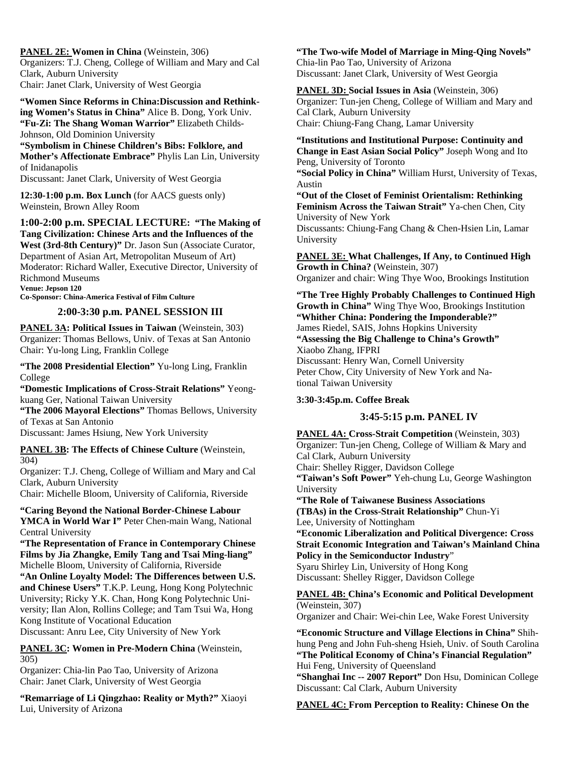**PANEL 2E: Women in China** (Weinstein, 306) Organizers: T.J. Cheng, College of William and Mary and Cal Clark, Auburn University Chair: Janet Clark, University of West Georgia

**"Women Since Reforms in China:Discussion and Rethinking Women's Status in China"** Alice B. Dong, York Univ. **"Fu-Zi: The Shang Woman Warrior"** Elizabeth Childs-Johnson, Old Dominion University

**"Symbolism in Chinese Children's Bibs: Folklore, and Mother's Affectionate Embrace"** Phylis Lan Lin, University of Inidanapolis

Discussant: Janet Clark, University of West Georgia

**12:30-1:00 p.m. Box Lunch** (for AACS guests only) Weinstein, Brown Alley Room

## **1:00-2:00 p.m. SPECIAL LECTURE: "The Making of**

**Tang Civilization: Chinese Arts and the Influences of the West (3rd-8th Century)"** Dr. Jason Sun (Associate Curator, Department of Asian Art, Metropolitan Museum of Art) Moderator: Richard Waller, Executive Director, University of Richmond Museums **Venue: Jepson 120** 

**Co-Sponsor: China-America Festival of Film Culture** 

## **2:00-3:30 p.m. PANEL SESSION III**

**PANEL 3A: Political Issues in Taiwan (Weinstein, 303)** Organizer: Thomas Bellows, Univ. of Texas at San Antonio Chair: Yu-long Ling, Franklin College

**"The 2008 Presidential Election"** Yu-long Ling, Franklin College

**"Domestic Implications of Cross-Strait Relations"** Yeongkuang Ger, National Taiwan University

**"The 2006 Mayoral Elections"** Thomas Bellows, University of Texas at San Antonio

Discussant: James Hsiung, New York University

**PANEL 3B: The Effects of Chinese Culture (Weinstein,** 304)

Organizer: T.J. Cheng, College of William and Mary and Cal Clark, Auburn University

Chair: Michelle Bloom, University of California, Riverside

## **"Caring Beyond the National Border-Chinese Labour**

YMCA in World War I" Peter Chen-main Wang, National Central University

**"The Representation of France in Contemporary Chinese Films by Jia Zhangke, Emily Tang and Tsai Ming-liang"**  Michelle Bloom, University of California, Riverside

**"An Online Loyalty Model: The Differences between U.S. and Chinese Users"** T.K.P. Leung, Hong Kong Polytechnic University; Ricky Y.K. Chan, Hong Kong Polytechnic University; Ilan Alon, Rollins College; and Tam Tsui Wa, Hong Kong Institute of Vocational Education

Discussant: Anru Lee, City University of New York

**PANEL 3C: Women in Pre-Modern China** (Weinstein, 305)

Organizer: Chia-lin Pao Tao, University of Arizona Chair: Janet Clark, University of West Georgia

**"Remarriage of Li Qingzhao: Reality or Myth?"** Xiaoyi Lui, University of Arizona

## **"The Two-wife Model of Marriage in Ming-Qing Novels"**  Chia-lin Pao Tao, University of Arizona

Discussant: Janet Clark, University of West Georgia

**PANEL 3D: Social Issues in Asia** (Weinstein, 306) Organizer: Tun-jen Cheng, College of William and Mary and Cal Clark, Auburn University Chair: Chiung-Fang Chang, Lamar University

**"Institutions and Institutional Purpose: Continuity and Change in East Asian Social Policy"** Joseph Wong and Ito Peng, University of Toronto

**"Social Policy in China"** William Hurst, University of Texas, Austin

**"Out of the Closet of Feminist Orientalism: Rethinking Feminism Across the Taiwan Strait"** Ya-chen Chen, City University of New York

Discussants: Chiung-Fang Chang & Chen-Hsien Lin, Lamar University

**PANEL 3E: What Challenges, If Any, to Continued High Growth in China?** (Weinstein, 307) Organizer and chair: Wing Thye Woo, Brookings Institution

**"The Tree Highly Probably Challenges to Continued High Growth in China"** Wing Thye Woo, Brookings Institution **"Whither China: Pondering the Imponderable?"**  James Riedel, SAIS, Johns Hopkins University **"Assessing the Big Challenge to China's Growth"**  Xiaobo Zhang, IFPRI Discussant: Henry Wan, Cornell University Peter Chow, City University of New York and National Taiwan University

## **3:30-3:45p.m. Coffee Break**

## **3:45-5:15 p.m. PANEL IV**

**PANEL 4A: Cross-Strait Competition** (Weinstein, 303) Organizer: Tun-jen Cheng, College of William & Mary and Cal Clark, Auburn University Chair: Shelley Rigger, Davidson College **"Taiwan's Soft Power"** Yeh-chung Lu, George Washington University **"The Role of Taiwanese Business Associations (TBAs) in the Cross-Strait Relationship"** Chun-Yi Lee, University of Nottingham **"Economic Liberalization and Political Divergence: Cross Strait Economic Integration and Taiwan's Mainland China Policy in the Semiconductor Industry**"

Syaru Shirley Lin, University of Hong Kong Discussant: Shelley Rigger, Davidson College

## **PANEL 4B: China's Economic and Political Development**  (Weinstein, 307)

Organizer and Chair: Wei-chin Lee, Wake Forest University

**"Economic Structure and Village Elections in China"** Shihhung Peng and John Fuh-sheng Hsieh, Univ. of South Carolina **"The Political Economy of China's Financial Regulation"**  Hui Feng, University of Queensland **"Shanghai Inc -- 2007 Report"** Don Hsu, Dominican College Discussant: Cal Clark, Auburn University

## **PANEL 4C: From Perception to Reality: Chinese On the**